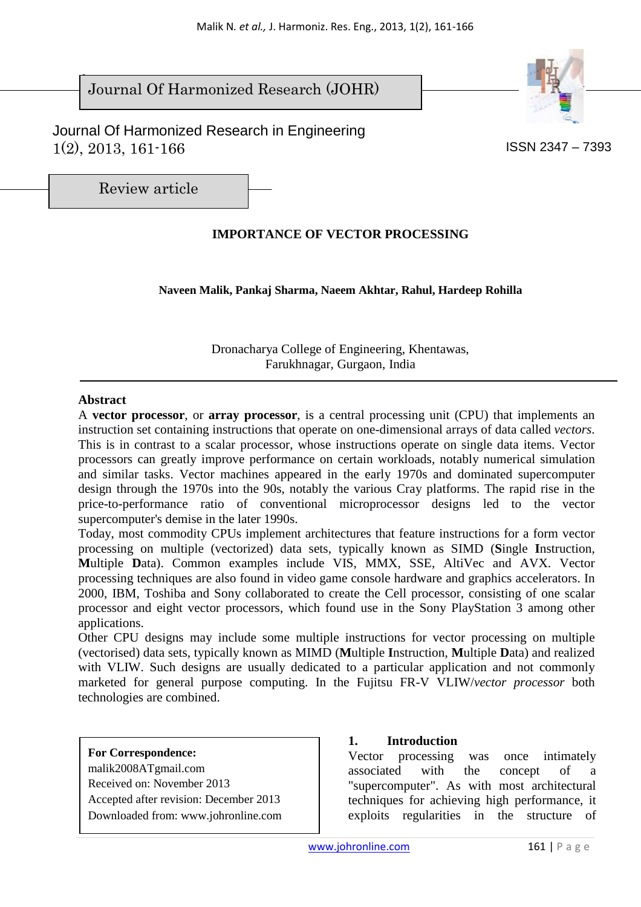#### $\overline{\phantom{a}}$ Journal Of Harmonized Research (JOHR)





Review article

# **IMPORTANCE OF VECTOR PROCESSING**

**Naveen Malik, Pankaj Sharma, Naeem Akhtar, Rahul, Hardeep Rohilla** 

Dronacharya College of Engineering, Khentawas, Farukhnagar, Gurgaon, India

#### **Abstract**

A **vector processor**, or **array processor**, is a central processing unit (CPU) that implements an instruction set containing instructions that operate on one-dimensional arrays of data called *vectors*. This is in contrast to a scalar processor, whose instructions operate on single data items. Vector processors can greatly improve performance on certain workloads, notably numerical simulation and similar tasks. Vector machines appeared in the early 1970s and dominated supercomputer design through the 1970s into the 90s, notably the various Cray platforms. The rapid rise in the price-to-performance ratio of conventional microprocessor designs led to the vector supercomputer's demise in the later 1990s.

Today, most commodity CPUs implement architectures that feature instructions for a form vector processing on multiple (vectorized) data sets, typically known as SIMD (**S**ingle **I**nstruction, **M**ultiple **D**ata). Common examples include VIS, MMX, SSE, AltiVec and AVX. Vector processing techniques are also found in video game console hardware and graphics accelerators. In 2000, IBM, Toshiba and Sony collaborated to create the Cell processor, consisting of one scalar processor and eight vector processors, which found use in the Sony PlayStation 3 among other applications.

Other CPU designs may include some multiple instructions for vector processing on multiple (vectorised) data sets, typically known as MIMD (**M**ultiple **I**nstruction, **M**ultiple **D**ata) and realized with VLIW. Such designs are usually dedicated to a particular application and not commonly marketed for general purpose computing. In the Fujitsu FR-V VLIW/*vector processor* both technologies are combined.

**For Correspondence:**  malik2008ATgmail.com Received on: November 2013 Accepted after revision: December 2013 Downloaded from: www.johronline.com

#### **1. Introduction**

Vector processing was once intimately associated with the concept of a "supercomputer". As with most architectural techniques for achieving high performance, it exploits regularities in the structure of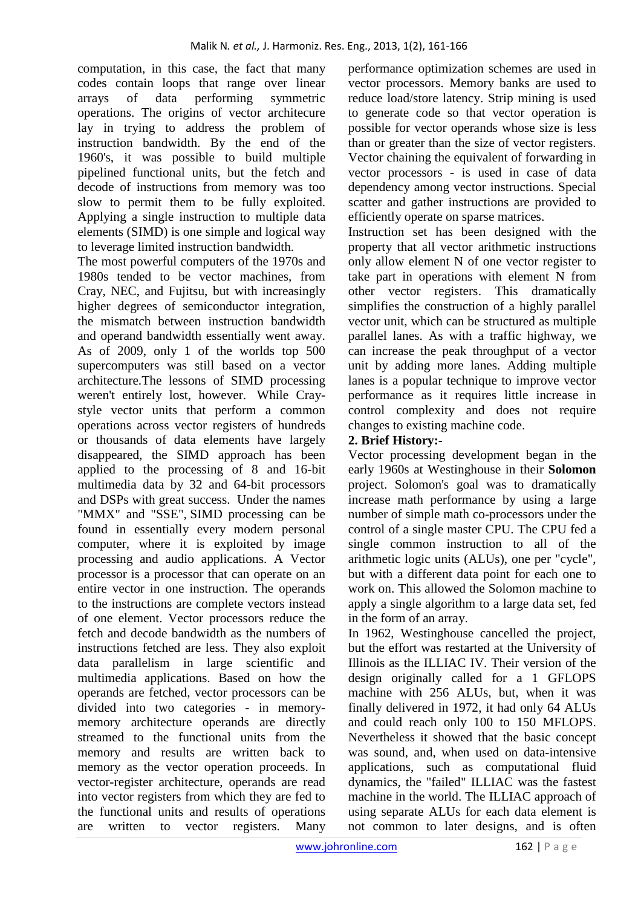computation, in this case, the fact that many codes contain loops that range over linear arrays of data performing symmetric operations. The origins of vector architecure lay in trying to address the problem of instruction bandwidth. By the end of the 1960's, it was possible to build multiple pipelined functional units, but the fetch and decode of instructions from memory was too slow to permit them to be fully exploited. Applying a single instruction to multiple data elements (SIMD) is one simple and logical way to leverage limited instruction bandwidth.

The most powerful computers of the 1970s and 1980s tended to be vector machines, from Cray, NEC, and Fujitsu, but with increasingly higher degrees of semiconductor integration, the mismatch between instruction bandwidth and operand bandwidth essentially went away. As of 2009, only 1 of the worlds top 500 supercomputers was still based on a vector architecture.The lessons of SIMD processing weren't entirely lost, however. While Craystyle vector units that perform a common operations across vector registers of hundreds or thousands of data elements have largely disappeared, the SIMD approach has been applied to the processing of 8 and 16-bit multimedia data by 32 and 64-bit processors and DSPs with great success. Under the names "MMX" and "SSE", SIMD processing can be found in essentially every modern personal computer, where it is exploited by image processing and audio applications. A Vector processor is a processor that can operate on an entire vector in one instruction. The operands to the instructions are complete vectors instead of one element. Vector processors reduce the fetch and decode bandwidth as the numbers of instructions fetched are less. They also exploit data parallelism in large scientific and multimedia applications. Based on how the operands are fetched, vector processors can be divided into two categories - in memorymemory architecture operands are directly streamed to the functional units from the memory and results are written back to memory as the vector operation proceeds. In vector-register architecture, operands are read into vector registers from which they are fed to the functional units and results of operations are written to vector registers. Many performance optimization schemes are used in vector processors. Memory banks are used to reduce load/store latency. Strip mining is used to generate code so that vector operation is possible for vector operands whose size is less than or greater than the size of vector registers. Vector chaining the equivalent of forwarding in vector processors - is used in case of data dependency among vector instructions. Special scatter and gather instructions are provided to efficiently operate on sparse matrices.

Instruction set has been designed with the property that all vector arithmetic instructions only allow element N of one vector register to take part in operations with element N from other vector registers. This dramatically simplifies the construction of a highly parallel vector unit, which can be structured as multiple parallel lanes. As with a traffic highway, we can increase the peak throughput of a vector unit by adding more lanes. Adding multiple lanes is a popular technique to improve vector performance as it requires little increase in control complexity and does not require changes to existing machine code.

## **2. Brief History:-**

Vector processing development began in the early 1960s at Westinghouse in their **Solomon** project. Solomon's goal was to dramatically increase math performance by using a large number of simple math co-processors under the control of a single master CPU. The CPU fed a single common instruction to all of the arithmetic logic units (ALUs), one per "cycle", but with a different data point for each one to work on. This allowed the Solomon machine to apply a single algorithm to a large data set, fed in the form of an array.

In 1962, Westinghouse cancelled the project, but the effort was restarted at the University of Illinois as the ILLIAC IV. Their version of the design originally called for a 1 GFLOPS machine with 256 ALUs, but, when it was finally delivered in 1972, it had only 64 ALUs and could reach only 100 to 150 MFLOPS. Nevertheless it showed that the basic concept was sound, and, when used on data-intensive applications, such as computational fluid dynamics, the "failed" ILLIAC was the fastest machine in the world. The ILLIAC approach of using separate ALUs for each data element is not common to later designs, and is often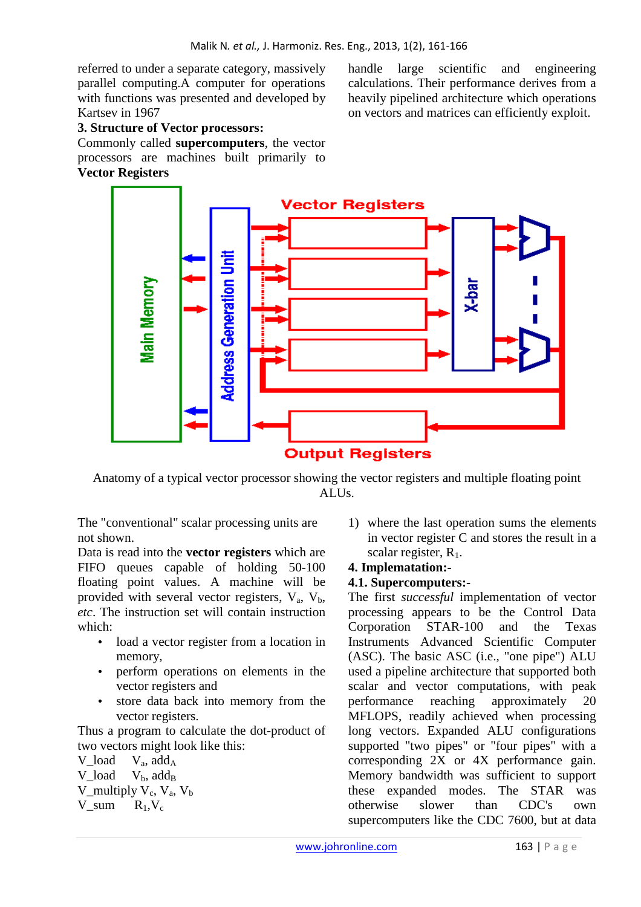referred to under a separate category, massively parallel computing.A computer for operations with functions was presented and developed by Kartsev in 1967

**3. Structure of Vector processors:** 

Commonly called **supercomputers**, the vector processors are machines built primarily to **Vector Registers** 

handle large scientific and engineering calculations. Their performance derives from a heavily pipelined architecture which operations on vectors and matrices can efficiently exploit.



Anatomy of a typical vector processor showing the vector registers and multiple floating point ALUs.

The "conventional" scalar processing units are not shown.

Data is read into the **vector registers** which are FIFO queues capable of holding 50-100 floating point values. A machine will be provided with several vector registers,  $V_a$ ,  $V_b$ , *etc*. The instruction set will contain instruction which:

- load a vector register from a location in memory,
- perform operations on elements in the vector registers and
- store data back into memory from the vector registers.

Thus a program to calculate the dot-product of two vectors might look like this:

V load  $V_a$ , add<sub>A</sub> V load  $V<sub>b</sub>$ , add<sub>B</sub> V\_multiply  $V_c$ ,  $V_a$ ,  $V_b$  $V\_sum$   $R_1, V_c$ 

1) where the last operation sums the elements in vector register C and stores the result in a scalar register,  $R_1$ .

### **4. Implematation:-**

#### **4.1. Supercomputers:-**

The first *successful* implementation of vector processing appears to be the Control Data Corporation STAR-100 and the Texas Instruments Advanced Scientific Computer (ASC). The basic ASC (i.e., "one pipe") ALU used a pipeline architecture that supported both scalar and vector computations, with peak performance reaching approximately 20 MFLOPS, readily achieved when processing long vectors. Expanded ALU configurations supported "two pipes" or "four pipes" with a corresponding 2X or 4X performance gain. Memory bandwidth was sufficient to support these expanded modes. The STAR was otherwise slower than CDC's own supercomputers like the CDC 7600, but at data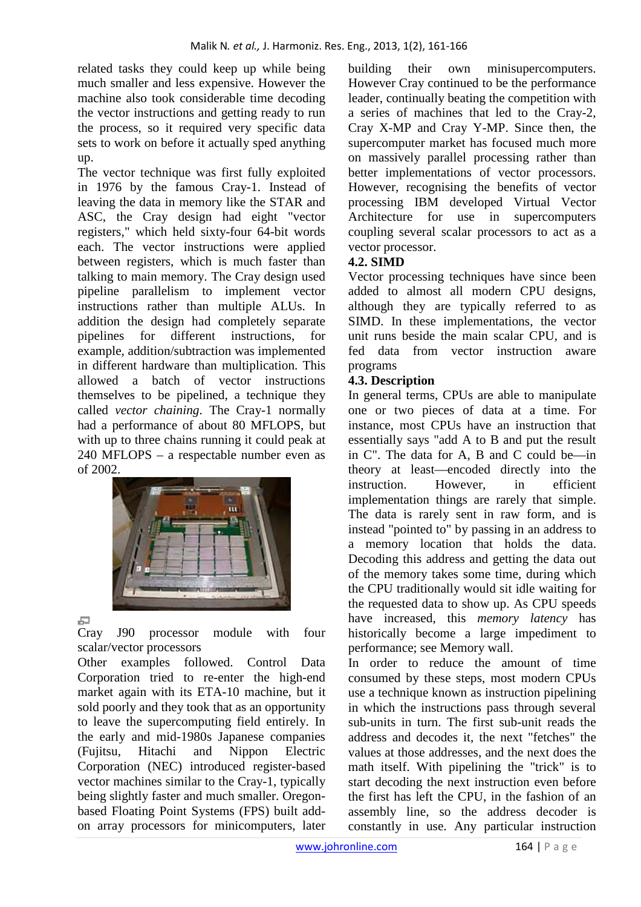related tasks they could keep up while being much smaller and less expensive. However the machine also took considerable time decoding the vector instructions and getting ready to run the process, so it required very specific data sets to work on before it actually sped anything up.

The vector technique was first fully exploited in 1976 by the famous Cray-1. Instead of leaving the data in memory like the STAR and ASC, the Cray design had eight "vector registers," which held sixty-four 64-bit words each. The vector instructions were applied between registers, which is much faster than talking to main memory. The Cray design used pipeline parallelism to implement vector instructions rather than multiple ALUs. In addition the design had completely separate pipelines for different instructions, for example, addition/subtraction was implemented in different hardware than multiplication. This allowed a batch of vector instructions themselves to be pipelined, a technique they called *vector chaining*. The Cray-1 normally had a performance of about 80 MFLOPS, but with up to three chains running it could peak at 240 MFLOPS – a respectable number even as of 2002.



### 与

Cray J90 processor module with four scalar/vector processors

Other examples followed. Control Data Corporation tried to re-enter the high-end market again with its ETA-10 machine, but it sold poorly and they took that as an opportunity to leave the supercomputing field entirely. In the early and mid-1980s Japanese companies (Fujitsu, Hitachi and Nippon Electric Corporation (NEC) introduced register-based vector machines similar to the Cray-1, typically being slightly faster and much smaller. Oregonbased Floating Point Systems (FPS) built addon array processors for minicomputers, later

building their own minisupercomputers. However Cray continued to be the performance leader, continually beating the competition with a series of machines that led to the Cray-2, Cray X-MP and Cray Y-MP. Since then, the supercomputer market has focused much more on massively parallel processing rather than better implementations of vector processors. However, recognising the benefits of vector processing IBM developed Virtual Vector Architecture for use in supercomputers coupling several scalar processors to act as a vector processor.

## **4.2. SIMD**

Vector processing techniques have since been added to almost all modern CPU designs, although they are typically referred to as SIMD. In these implementations, the vector unit runs beside the main scalar CPU, and is fed data from vector instruction aware programs

### **4.3. Description**

In general terms, CPUs are able to manipulate one or two pieces of data at a time. For instance, most CPUs have an instruction that essentially says "add A to B and put the result in C". The data for A, B and C could be—in theory at least—encoded directly into the instruction. However, in efficient implementation things are rarely that simple. The data is rarely sent in raw form, and is instead "pointed to" by passing in an address to a memory location that holds the data. Decoding this address and getting the data out of the memory takes some time, during which the CPU traditionally would sit idle waiting for the requested data to show up. As CPU speeds have increased, this *memory latency* has historically become a large impediment to performance; see Memory wall.

In order to reduce the amount of time consumed by these steps, most modern CPUs use a technique known as instruction pipelining in which the instructions pass through several sub-units in turn. The first sub-unit reads the address and decodes it, the next "fetches" the values at those addresses, and the next does the math itself. With pipelining the "trick" is to start decoding the next instruction even before the first has left the CPU, in the fashion of an assembly line, so the address decoder is constantly in use. Any particular instruction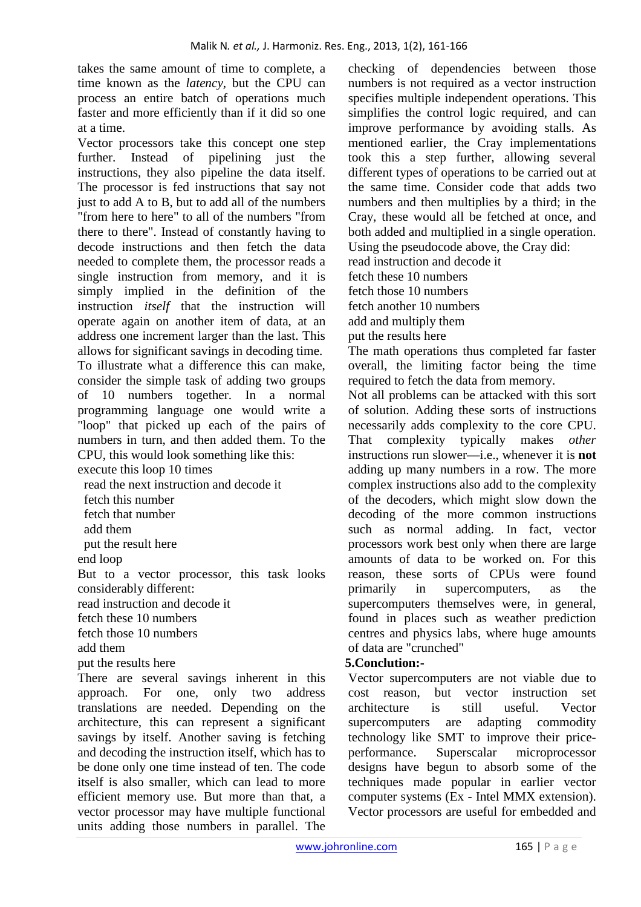takes the same amount of time to complete, a time known as the *latency*, but the CPU can process an entire batch of operations much faster and more efficiently than if it did so one at a time.

Vector processors take this concept one step further. Instead of pipelining just the instructions, they also pipeline the data itself. The processor is fed instructions that say not just to add A to B, but to add all of the numbers "from here to here" to all of the numbers "from there to there". Instead of constantly having to decode instructions and then fetch the data needed to complete them, the processor reads a single instruction from memory, and it is simply implied in the definition of the instruction *itself* that the instruction will operate again on another item of data, at an address one increment larger than the last. This allows for significant savings in decoding time. To illustrate what a difference this can make, consider the simple task of adding two groups of 10 numbers together. In a normal programming language one would write a "loop" that picked up each of the pairs of numbers in turn, and then added them. To the CPU, this would look something like this:

execute this loop 10 times

read the next instruction and decode it

fetch this number

fetch that number

add them

put the result here

end loop

But to a vector processor, this task looks considerably different:

read instruction and decode it

fetch these 10 numbers

fetch those 10 numbers

add them

put the results here

There are several savings inherent in this approach. For one, only two address translations are needed. Depending on the architecture, this can represent a significant savings by itself. Another saving is fetching and decoding the instruction itself, which has to be done only one time instead of ten. The code itself is also smaller, which can lead to more efficient memory use. But more than that, a vector processor may have multiple functional units adding those numbers in parallel. The

checking of dependencies between those numbers is not required as a vector instruction specifies multiple independent operations. This simplifies the control logic required, and can improve performance by avoiding stalls. As mentioned earlier, the Cray implementations took this a step further, allowing several different types of operations to be carried out at the same time. Consider code that adds two numbers and then multiplies by a third; in the Cray, these would all be fetched at once, and both added and multiplied in a single operation. Using the pseudocode above, the Cray did: read instruction and decode it

fetch these 10 numbers

fetch those 10 numbers

fetch another 10 numbers

add and multiply them

put the results here

The math operations thus completed far faster overall, the limiting factor being the time required to fetch the data from memory.

Not all problems can be attacked with this sort of solution. Adding these sorts of instructions necessarily adds complexity to the core CPU. That complexity typically makes *other* instructions run slower—i.e., whenever it is **not** adding up many numbers in a row. The more complex instructions also add to the complexity of the decoders, which might slow down the decoding of the more common instructions such as normal adding. In fact, vector processors work best only when there are large amounts of data to be worked on. For this reason, these sorts of CPUs were found primarily in supercomputers, as the supercomputers themselves were, in general, found in places such as weather prediction centres and physics labs, where huge amounts of data are "crunched"

### **5.Conclution:-**

Vector supercomputers are not viable due to cost reason, but vector instruction set architecture is still useful. Vector supercomputers are adapting commodity technology like SMT to improve their priceperformance. Superscalar microprocessor designs have begun to absorb some of the techniques made popular in earlier vector computer systems (Ex - Intel MMX extension). Vector processors are useful for embedded and